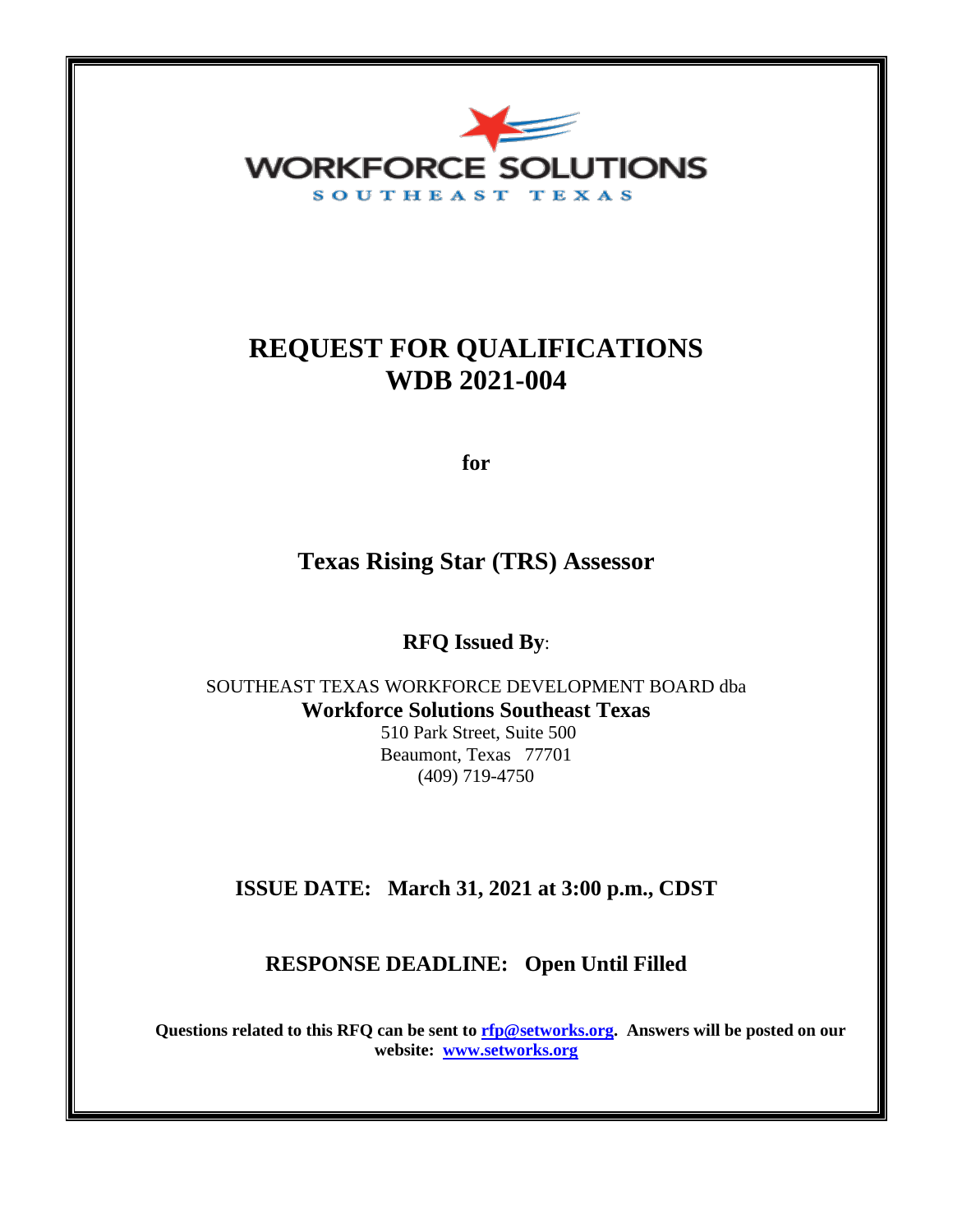

# **REQUEST FOR QUALIFICATIONS WDB 2021-004**

**for**

**Texas Rising Star (TRS) Assessor**

**RFQ Issued By**:

SOUTHEAST TEXAS WORKFORCE DEVELOPMENT BOARD dba **Workforce Solutions Southeast Texas**

510 Park Street, Suite 500 Beaumont, Texas 77701 (409) 719-4750

## **ISSUE DATE: March 31, 2021 at 3:00 p.m., CDST**

### **RESPONSE DEADLINE: Open Until Filled**

**Questions related to this RFQ can be sent to [rfp@setworks.org.](mailto:rfp@setworks.org) Answers will be posted on our website: [www.setworks.org](http://www.setworks.org/)**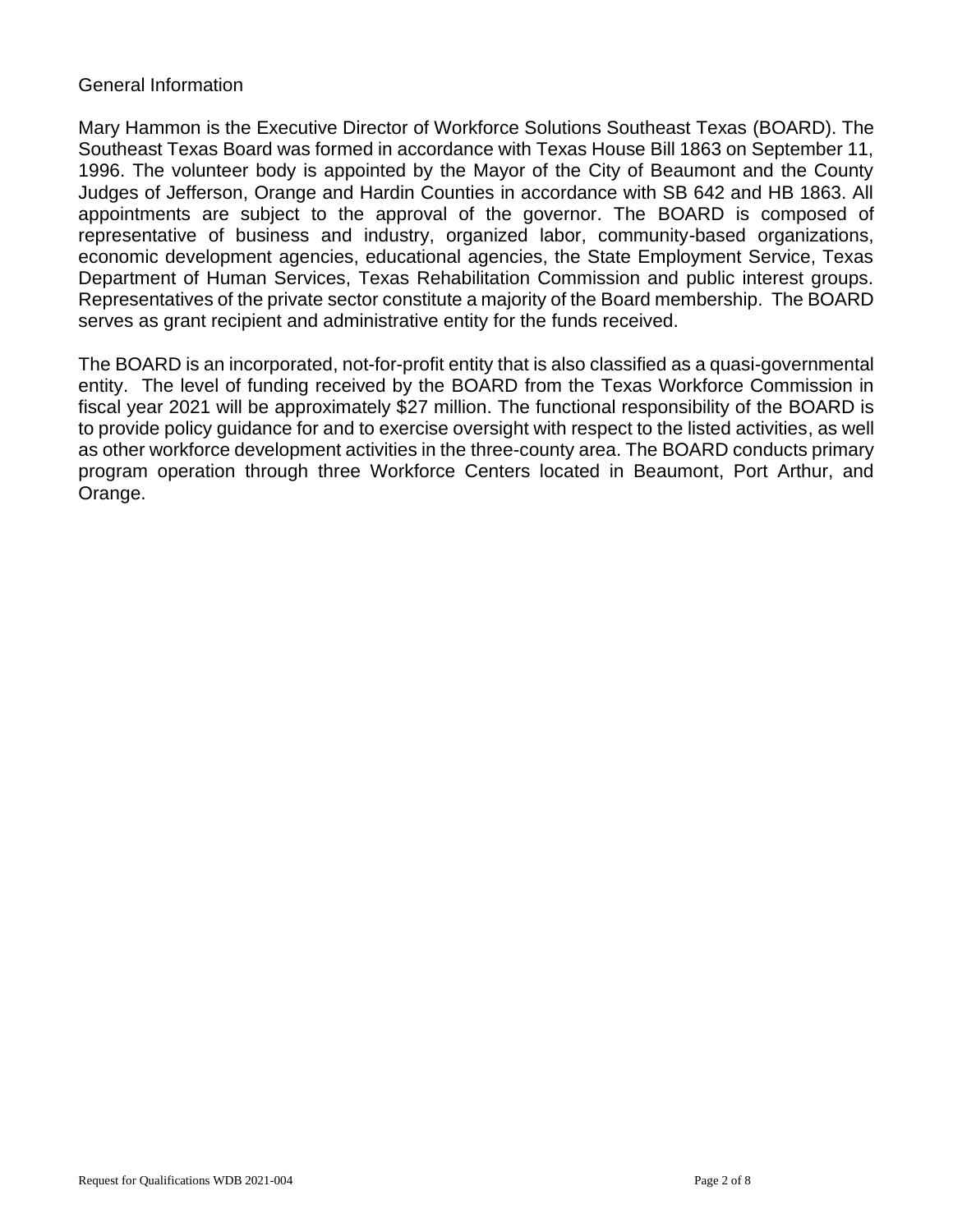#### General Information

Mary Hammon is the Executive Director of Workforce Solutions Southeast Texas (BOARD). The Southeast Texas Board was formed in accordance with Texas House Bill 1863 on September 11, 1996. The volunteer body is appointed by the Mayor of the City of Beaumont and the County Judges of Jefferson, Orange and Hardin Counties in accordance with SB 642 and HB 1863. All appointments are subject to the approval of the governor. The BOARD is composed of representative of business and industry, organized labor, community-based organizations, economic development agencies, educational agencies, the State Employment Service, Texas Department of Human Services, Texas Rehabilitation Commission and public interest groups. Representatives of the private sector constitute a majority of the Board membership. The BOARD serves as grant recipient and administrative entity for the funds received.

The BOARD is an incorporated, not-for-profit entity that is also classified as a quasi-governmental entity. The level of funding received by the BOARD from the Texas Workforce Commission in fiscal year 2021 will be approximately \$27 million. The functional responsibility of the BOARD is to provide policy guidance for and to exercise oversight with respect to the listed activities, as well as other workforce development activities in the three-county area. The BOARD conducts primary program operation through three Workforce Centers located in Beaumont, Port Arthur, and Orange.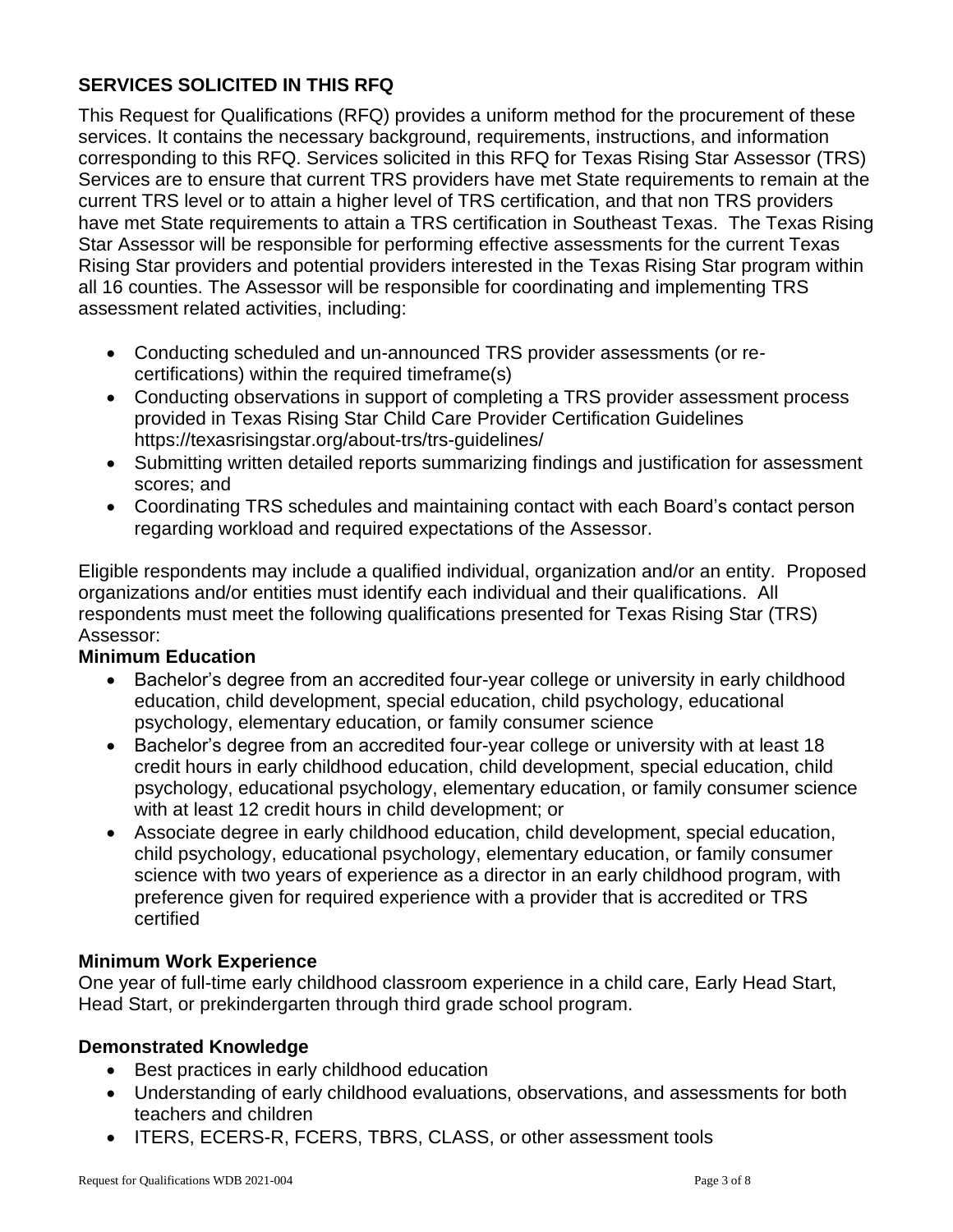### **SERVICES SOLICITED IN THIS RFQ**

This Request for Qualifications (RFQ) provides a uniform method for the procurement of these services. It contains the necessary background, requirements, instructions, and information corresponding to this RFQ. Services solicited in this RFQ for Texas Rising Star Assessor (TRS) Services are to ensure that current TRS providers have met State requirements to remain at the current TRS level or to attain a higher level of TRS certification, and that non TRS providers have met State requirements to attain a TRS certification in Southeast Texas. The Texas Rising Star Assessor will be responsible for performing effective assessments for the current Texas Rising Star providers and potential providers interested in the Texas Rising Star program within all 16 counties. The Assessor will be responsible for coordinating and implementing TRS assessment related activities, including:

- Conducting scheduled and un-announced TRS provider assessments (or recertifications) within the required timeframe(s)
- Conducting observations in support of completing a TRS provider assessment process provided in Texas Rising Star Child Care Provider Certification Guidelines https://texasrisingstar.org/about-trs/trs-guidelines/
- Submitting written detailed reports summarizing findings and justification for assessment scores; and
- Coordinating TRS schedules and maintaining contact with each Board's contact person regarding workload and required expectations of the Assessor.

Eligible respondents may include a qualified individual, organization and/or an entity. Proposed organizations and/or entities must identify each individual and their qualifications. All respondents must meet the following qualifications presented for Texas Rising Star (TRS) Assessor:

#### **Minimum Education**

- Bachelor's degree from an accredited four-year college or university in early childhood education, child development, special education, child psychology, educational psychology, elementary education, or family consumer science
- Bachelor's degree from an accredited four-year college or university with at least 18 credit hours in early childhood education, child development, special education, child psychology, educational psychology, elementary education, or family consumer science with at least 12 credit hours in child development; or
- Associate degree in early childhood education, child development, special education, child psychology, educational psychology, elementary education, or family consumer science with two years of experience as a director in an early childhood program, with preference given for required experience with a provider that is accredited or TRS certified

#### **Minimum Work Experience**

One year of full-time early childhood classroom experience in a child care, Early Head Start, Head Start, or prekindergarten through third grade school program.

#### **Demonstrated Knowledge**

- Best practices in early childhood education
- Understanding of early childhood evaluations, observations, and assessments for both teachers and children
- ITERS, ECERS-R, FCERS, TBRS, CLASS, or other assessment tools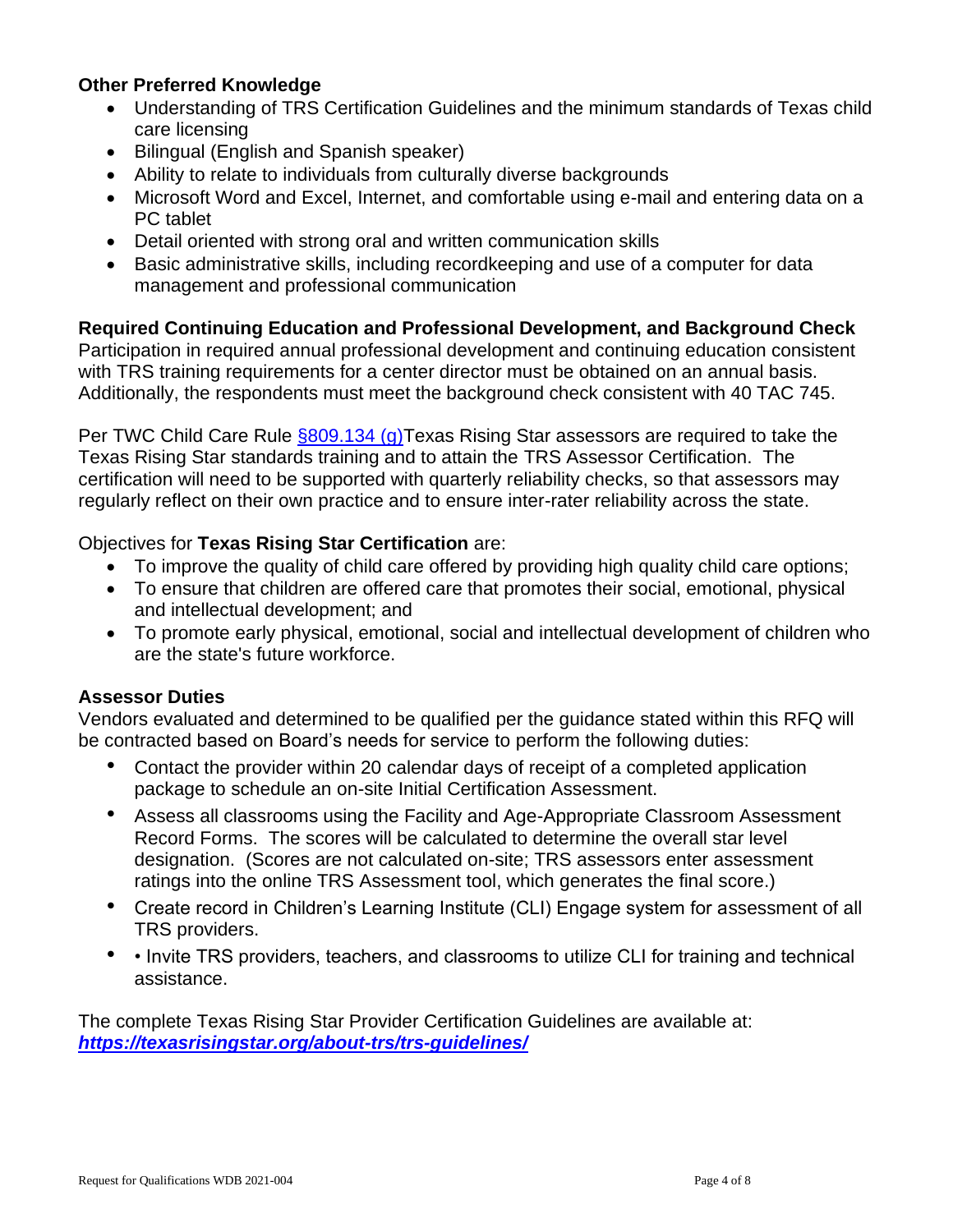#### **Other Preferred Knowledge**

- Understanding of TRS Certification Guidelines and the minimum standards of Texas child care licensing
- Bilingual (English and Spanish speaker)
- Ability to relate to individuals from culturally diverse backgrounds
- Microsoft Word and Excel, Internet, and comfortable using e-mail and entering data on a PC tablet
- Detail oriented with strong oral and written communication skills
- Basic administrative skills, including recordkeeping and use of a computer for data management and professional communication

**Required Continuing Education and Professional Development, and Background Check**  Participation in required annual professional development and continuing education consistent with TRS training requirements for a center director must be obtained on an annual basis. Additionally, the respondents must meet the background check consistent with 40 TAC 745.

Per TWC Child Care Rule [§809.134 \(g\)T](https://texreg.sos.state.tx.us/public/readtac$ext.TacPage?sl=R&app=9&p_dir=&p_rloc=&p_tloc=&p_ploc=&pg=1&p_tac=&ti=40&pt=20&ch=809&rl=134)exas Rising Star assessors are required to take the Texas Rising Star standards training and to attain the TRS Assessor Certification. The certification will need to be supported with quarterly reliability checks, so that assessors may regularly reflect on their own practice and to ensure inter-rater reliability across the state.

#### Objectives for **Texas Rising Star Certification** are:

- To improve the quality of child care offered by providing high quality child care options;
- To ensure that children are offered care that promotes their social, emotional, physical and intellectual development; and
- To promote early physical, emotional, social and intellectual development of children who are the state's future workforce.

#### **Assessor Duties**

Vendors evaluated and determined to be qualified per the guidance stated within this RFQ will be contracted based on Board's needs for service to perform the following duties:

- Contact the provider within 20 calendar days of receipt of a completed application package to schedule an on-site Initial Certification Assessment.
- Assess all classrooms using the Facility and Age-Appropriate Classroom Assessment Record Forms. The scores will be calculated to determine the overall star level designation. (Scores are not calculated on-site; TRS assessors enter assessment ratings into the online TRS Assessment tool, which generates the final score.)
- Create record in Children's Learning Institute (CLI) Engage system for assessment of all TRS providers.
- • Invite TRS providers, teachers, and classrooms to utilize CLI for training and technical assistance.

The complete Texas Rising Star Provider Certification Guidelines are available at: *<https://texasrisingstar.org/about-trs/trs-guidelines/>*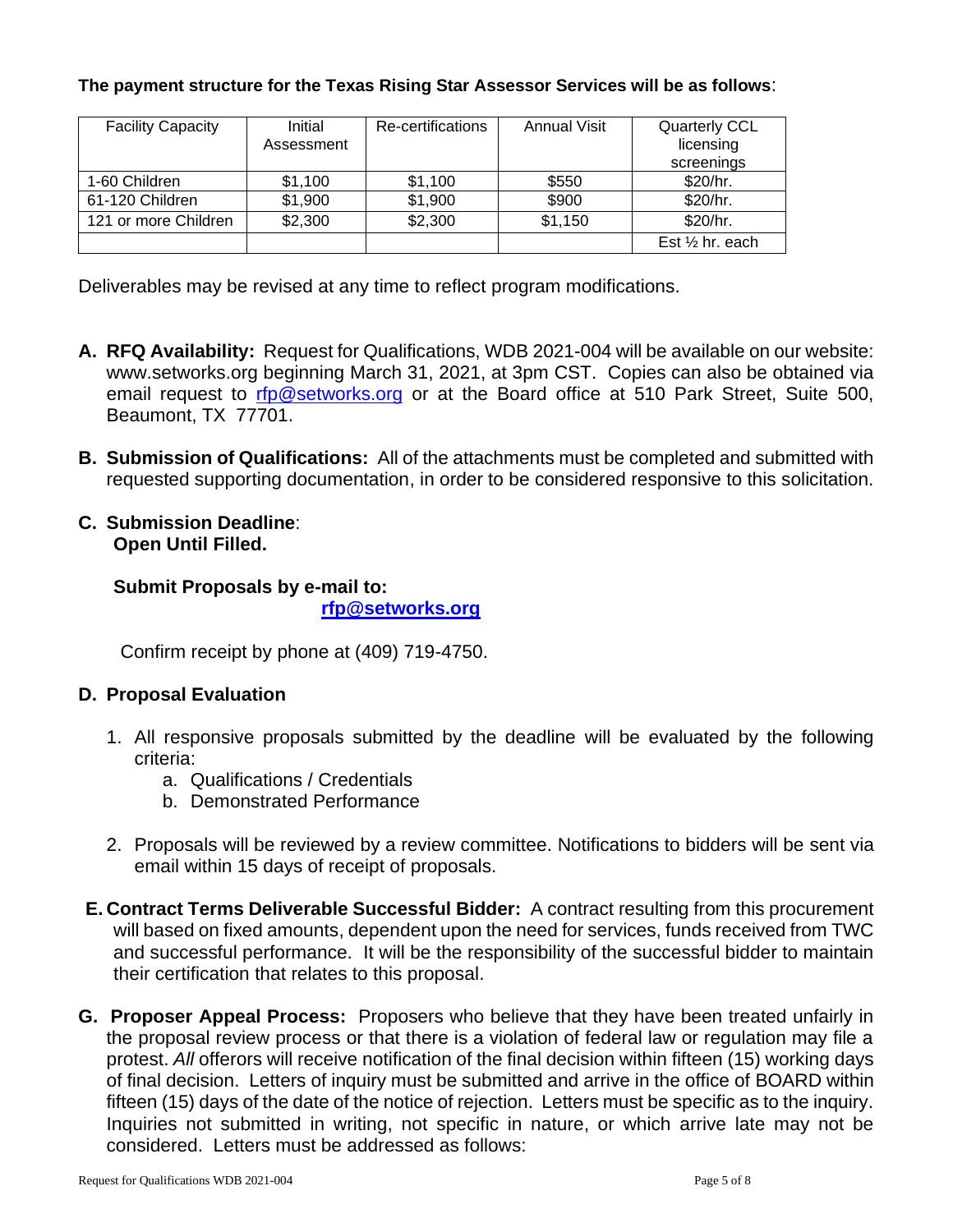#### **The payment structure for the Texas Rising Star Assessor Services will be as follows**:

| <b>Facility Capacity</b> | Initial    | Re-certifications | <b>Annual Visit</b> | <b>Quarterly CCL</b>       |
|--------------------------|------------|-------------------|---------------------|----------------------------|
|                          | Assessment |                   |                     | licensing                  |
|                          |            |                   |                     | screenings                 |
| 1-60 Children            | \$1,100    | \$1,100           | \$550               | \$20/hr.                   |
| 61-120 Children          | \$1,900    | \$1,900           | \$900               | \$20/hr.                   |
| 121 or more Children     | \$2,300    | \$2,300           | \$1,150             | \$20/hr.                   |
|                          |            |                   |                     | Est $\frac{1}{2}$ hr. each |

Deliverables may be revised at any time to reflect program modifications.

- **A. RFQ Availability:** Request for Qualifications, WDB 2021-004 will be available on our website: www.setworks.org beginning March 31, 2021, at 3pm CST. Copies can also be obtained via email request to [rfp@setworks.org](mailto:rfp@setworks.org) or at the Board office at 510 Park Street, Suite 500, Beaumont, TX 77701.
- **B. Submission of Qualifications:** All of the attachments must be completed and submitted with requested supporting documentation, in order to be considered responsive to this solicitation.
- **C. Submission Deadline**: **Open Until Filled.**

**Submit Proposals by e-mail to: [rfp@setworks.org](mailto:rfp@setworks.org)**

Confirm receipt by phone at (409) 719-4750.

#### **D. Proposal Evaluation**

- 1. All responsive proposals submitted by the deadline will be evaluated by the following criteria:
	- a. Qualifications / Credentials
	- b. Demonstrated Performance
- 2. Proposals will be reviewed by a review committee. Notifications to bidders will be sent via email within 15 days of receipt of proposals.
- **E. Contract Terms Deliverable Successful Bidder:** A contract resulting from this procurement will based on fixed amounts, dependent upon the need for services, funds received from TWC and successful performance. It will be the responsibility of the successful bidder to maintain their certification that relates to this proposal.
- **G. Proposer Appeal Process:** Proposers who believe that they have been treated unfairly in the proposal review process or that there is a violation of federal law or regulation may file a protest. *All* offerors will receive notification of the final decision within fifteen (15) working days of final decision. Letters of inquiry must be submitted and arrive in the office of BOARD within fifteen (15) days of the date of the notice of rejection. Letters must be specific as to the inquiry. Inquiries not submitted in writing, not specific in nature, or which arrive late may not be considered. Letters must be addressed as follows: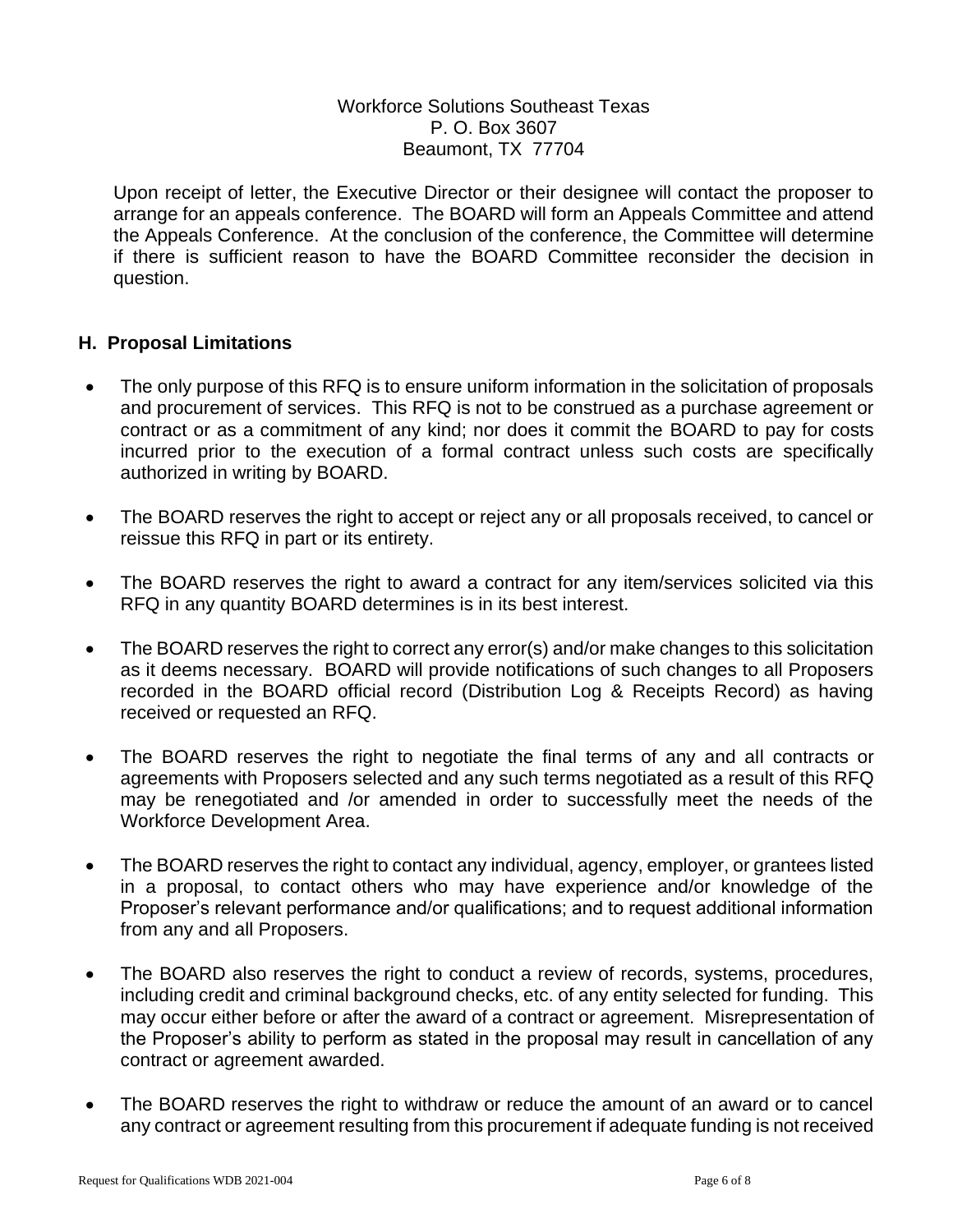#### Workforce Solutions Southeast Texas P. O. Box 3607 Beaumont, TX 77704

Upon receipt of letter, the Executive Director or their designee will contact the proposer to arrange for an appeals conference. The BOARD will form an Appeals Committee and attend the Appeals Conference. At the conclusion of the conference, the Committee will determine if there is sufficient reason to have the BOARD Committee reconsider the decision in question.

#### **H. Proposal Limitations**

- The only purpose of this RFQ is to ensure uniform information in the solicitation of proposals and procurement of services. This RFQ is not to be construed as a purchase agreement or contract or as a commitment of any kind; nor does it commit the BOARD to pay for costs incurred prior to the execution of a formal contract unless such costs are specifically authorized in writing by BOARD.
- The BOARD reserves the right to accept or reject any or all proposals received, to cancel or reissue this RFQ in part or its entirety.
- The BOARD reserves the right to award a contract for any item/services solicited via this RFQ in any quantity BOARD determines is in its best interest.
- The BOARD reserves the right to correct any error(s) and/or make changes to this solicitation as it deems necessary. BOARD will provide notifications of such changes to all Proposers recorded in the BOARD official record (Distribution Log & Receipts Record) as having received or requested an RFQ.
- The BOARD reserves the right to negotiate the final terms of any and all contracts or agreements with Proposers selected and any such terms negotiated as a result of this RFQ may be renegotiated and /or amended in order to successfully meet the needs of the Workforce Development Area.
- The BOARD reserves the right to contact any individual, agency, employer, or grantees listed in a proposal, to contact others who may have experience and/or knowledge of the Proposer's relevant performance and/or qualifications; and to request additional information from any and all Proposers.
- The BOARD also reserves the right to conduct a review of records, systems, procedures, including credit and criminal background checks, etc. of any entity selected for funding. This may occur either before or after the award of a contract or agreement. Misrepresentation of the Proposer's ability to perform as stated in the proposal may result in cancellation of any contract or agreement awarded.
- The BOARD reserves the right to withdraw or reduce the amount of an award or to cancel any contract or agreement resulting from this procurement if adequate funding is not received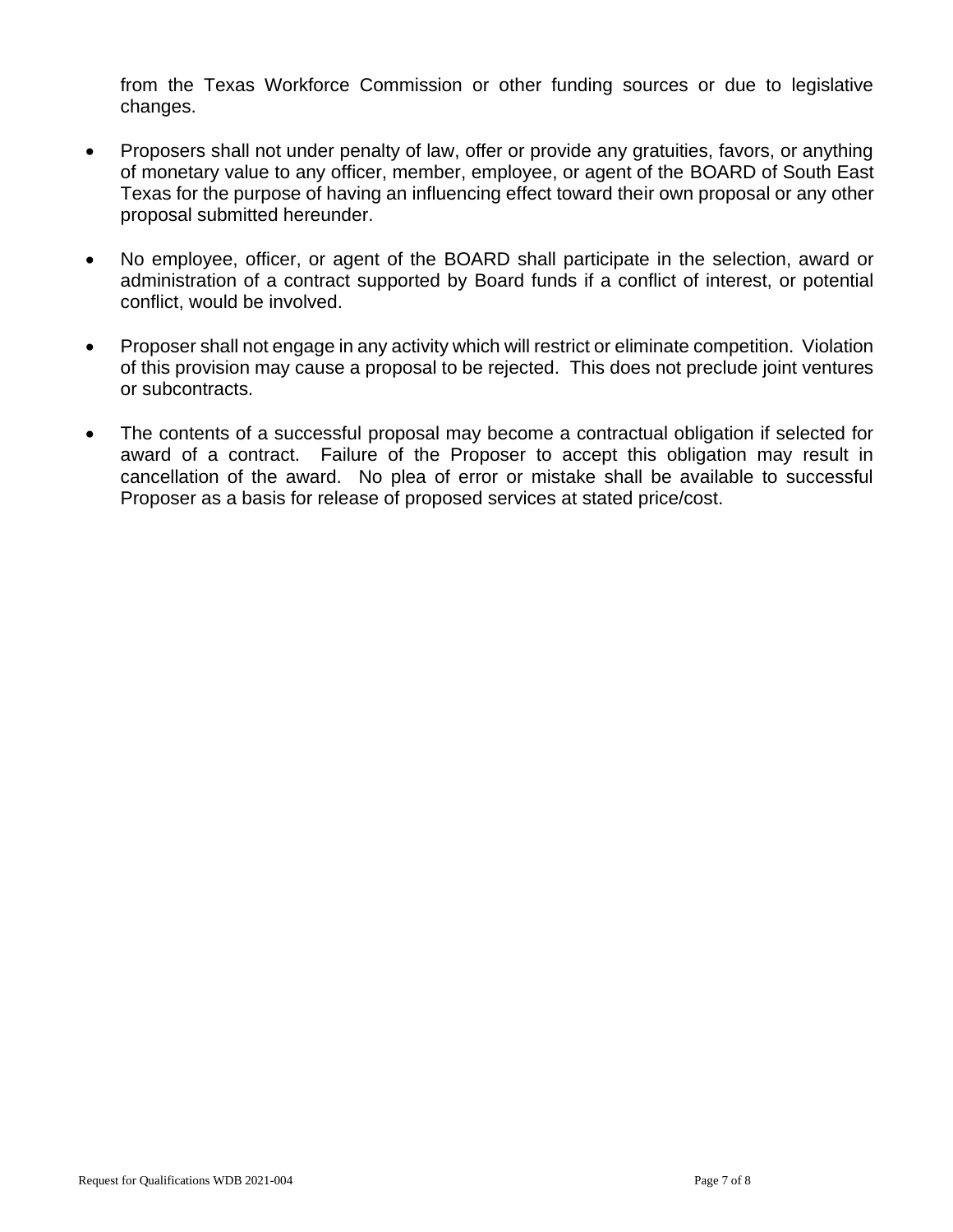from the Texas Workforce Commission or other funding sources or due to legislative changes.

- Proposers shall not under penalty of law, offer or provide any gratuities, favors, or anything of monetary value to any officer, member, employee, or agent of the BOARD of South East Texas for the purpose of having an influencing effect toward their own proposal or any other proposal submitted hereunder.
- No employee, officer, or agent of the BOARD shall participate in the selection, award or administration of a contract supported by Board funds if a conflict of interest, or potential conflict, would be involved.
- Proposer shall not engage in any activity which will restrict or eliminate competition. Violation of this provision may cause a proposal to be rejected. This does not preclude joint ventures or subcontracts.
- The contents of a successful proposal may become a contractual obligation if selected for award of a contract. Failure of the Proposer to accept this obligation may result in cancellation of the award. No plea of error or mistake shall be available to successful Proposer as a basis for release of proposed services at stated price/cost.